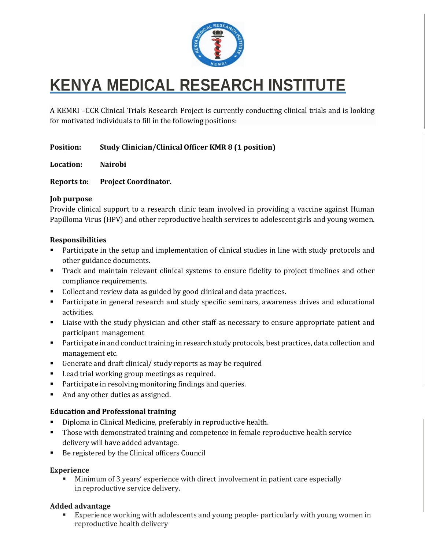

# **KENYA MEDICAL RESEARCH INSTITUTE**

A KEMRI –CCR Clinical Trials Research Project is currently conducting clinical trials and is looking for motivated individuals to fill in the following positions:

# **Position: Study Clinician/Clinical Officer KMR 8 (1 position)**

**Location: Nairobi**

**Reports to: Project Coordinator.**

#### **Job purpose**

Provide clinical support to a research clinic team involved in providing a vaccine against Human Papilloma Virus (HPV) and other reproductive health services to adolescent girls and young women.

#### **Responsibilities**

- Participate in the setup and implementation of clinical studies in line with study protocols and other guidance documents.
- **Track and maintain relevant clinical systems to ensure fidelity to project timelines and other** compliance requirements.
- Collect and review data as guided by good clinical and data practices.
- **Participate in general research and study specific seminars, awareness drives and educational** activities.
- Liaise with the study physician and other staff as necessary to ensure appropriate patient and participant management
- **Participate in and conduct training in research study protocols, best practices, data collection and** management etc.
- Generate and draft clinical/ study reports as may be required
- **Lead trial working group meetings as required.**
- **Participate in resolving monitoring findings and queries.**
- And any other duties as assigned.

# **Education and Professional training**

- Diploma in Clinical Medicine, preferably in reproductive health.
- Those with demonstrated training and competence in female reproductive health service delivery will have added advantage.
- Be registered by the Clinical officers Council

# **Experience**

 Minimum of 3 years' experience with direct involvement in patient care especially in reproductive service delivery.

# **Added advantage**

 Experience working with adolescents and young people- particularly with young women in reproductive health delivery